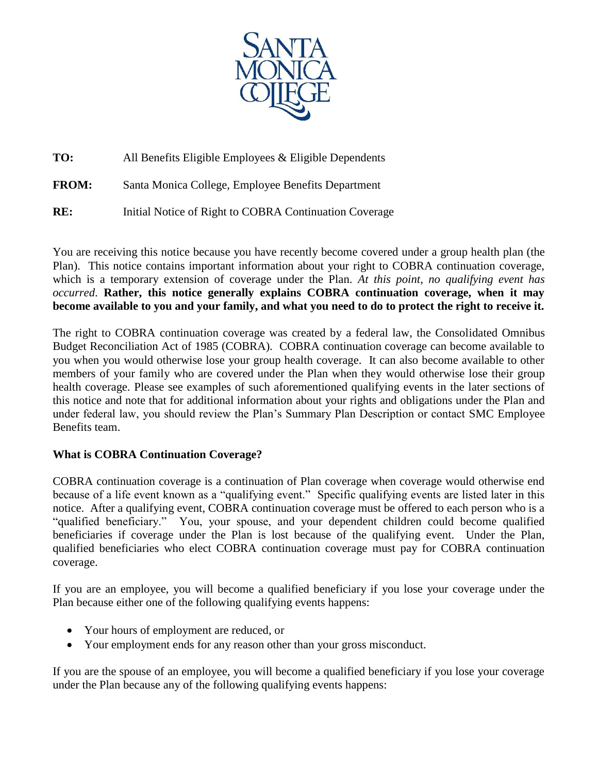

**TO:** All Benefits Eligible Employees & Eligible Dependents

**FROM:** Santa Monica College, Employee Benefits Department

**RE:** Initial Notice of Right to COBRA Continuation Coverage

You are receiving this notice because you have recently become covered under a group health plan (the Plan). This notice contains important information about your right to COBRA continuation coverage, which is a temporary extension of coverage under the Plan. *At this point, no qualifying event has occurred*. **Rather, this notice generally explains COBRA continuation coverage, when it may become available to you and your family, and what you need to do to protect the right to receive it.**

The right to COBRA continuation coverage was created by a federal law, the Consolidated Omnibus Budget Reconciliation Act of 1985 (COBRA). COBRA continuation coverage can become available to you when you would otherwise lose your group health coverage. It can also become available to other members of your family who are covered under the Plan when they would otherwise lose their group health coverage. Please see examples of such aforementioned qualifying events in the later sections of this notice and note that for additional information about your rights and obligations under the Plan and under federal law, you should review the Plan's Summary Plan Description or contact SMC Employee Benefits team.

## **What is COBRA Continuation Coverage?**

COBRA continuation coverage is a continuation of Plan coverage when coverage would otherwise end because of a life event known as a "qualifying event." Specific qualifying events are listed later in this notice. After a qualifying event, COBRA continuation coverage must be offered to each person who is a "qualified beneficiary." You, your spouse, and your dependent children could become qualified beneficiaries if coverage under the Plan is lost because of the qualifying event. Under the Plan, qualified beneficiaries who elect COBRA continuation coverage must pay for COBRA continuation coverage.

If you are an employee, you will become a qualified beneficiary if you lose your coverage under the Plan because either one of the following qualifying events happens:

- Your hours of employment are reduced, or
- Your employment ends for any reason other than your gross misconduct.

If you are the spouse of an employee, you will become a qualified beneficiary if you lose your coverage under the Plan because any of the following qualifying events happens: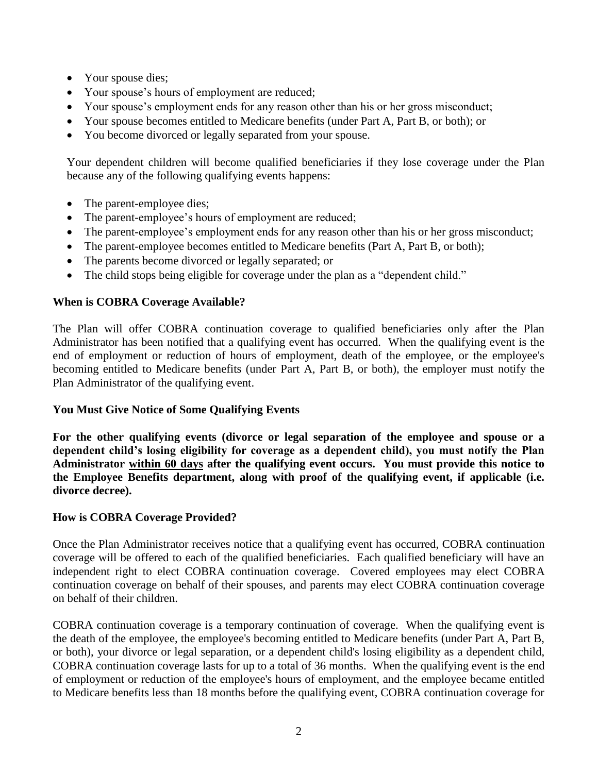- Your spouse dies;
- Your spouse's hours of employment are reduced;
- Your spouse's employment ends for any reason other than his or her gross misconduct;
- Your spouse becomes entitled to Medicare benefits (under Part A, Part B, or both); or
- You become divorced or legally separated from your spouse.

Your dependent children will become qualified beneficiaries if they lose coverage under the Plan because any of the following qualifying events happens:

- The parent-employee dies;
- The parent-employee's hours of employment are reduced;
- The parent-employee's employment ends for any reason other than his or her gross misconduct;
- The parent-employee becomes entitled to Medicare benefits (Part A, Part B, or both);
- The parents become divorced or legally separated; or
- The child stops being eligible for coverage under the plan as a "dependent child."

# **When is COBRA Coverage Available?**

The Plan will offer COBRA continuation coverage to qualified beneficiaries only after the Plan Administrator has been notified that a qualifying event has occurred. When the qualifying event is the end of employment or reduction of hours of employment, death of the employee, or the employee's becoming entitled to Medicare benefits (under Part A, Part B, or both), the employer must notify the Plan Administrator of the qualifying event.

## **You Must Give Notice of Some Qualifying Events**

**For the other qualifying events (divorce or legal separation of the employee and spouse or a dependent child's losing eligibility for coverage as a dependent child), you must notify the Plan Administrator within 60 days after the qualifying event occurs. You must provide this notice to the Employee Benefits department, along with proof of the qualifying event, if applicable (i.e. divorce decree).**

## **How is COBRA Coverage Provided?**

Once the Plan Administrator receives notice that a qualifying event has occurred, COBRA continuation coverage will be offered to each of the qualified beneficiaries. Each qualified beneficiary will have an independent right to elect COBRA continuation coverage. Covered employees may elect COBRA continuation coverage on behalf of their spouses, and parents may elect COBRA continuation coverage on behalf of their children.

COBRA continuation coverage is a temporary continuation of coverage. When the qualifying event is the death of the employee, the employee's becoming entitled to Medicare benefits (under Part A, Part B, or both), your divorce or legal separation, or a dependent child's losing eligibility as a dependent child, COBRA continuation coverage lasts for up to a total of 36 months. When the qualifying event is the end of employment or reduction of the employee's hours of employment, and the employee became entitled to Medicare benefits less than 18 months before the qualifying event, COBRA continuation coverage for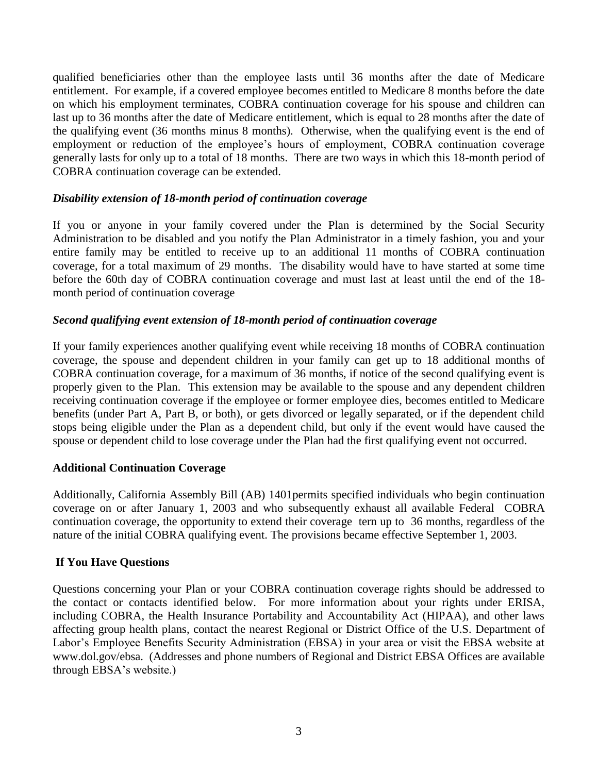qualified beneficiaries other than the employee lasts until 36 months after the date of Medicare entitlement. For example, if a covered employee becomes entitled to Medicare 8 months before the date on which his employment terminates, COBRA continuation coverage for his spouse and children can last up to 36 months after the date of Medicare entitlement, which is equal to 28 months after the date of the qualifying event (36 months minus 8 months). Otherwise, when the qualifying event is the end of employment or reduction of the employee's hours of employment, COBRA continuation coverage generally lasts for only up to a total of 18 months. There are two ways in which this 18-month period of COBRA continuation coverage can be extended.

### *Disability extension of 18-month period of continuation coverage*

If you or anyone in your family covered under the Plan is determined by the Social Security Administration to be disabled and you notify the Plan Administrator in a timely fashion, you and your entire family may be entitled to receive up to an additional 11 months of COBRA continuation coverage, for a total maximum of 29 months. The disability would have to have started at some time before the 60th day of COBRA continuation coverage and must last at least until the end of the 18 month period of continuation coverage

### *Second qualifying event extension of 18-month period of continuation coverage*

If your family experiences another qualifying event while receiving 18 months of COBRA continuation coverage, the spouse and dependent children in your family can get up to 18 additional months of COBRA continuation coverage, for a maximum of 36 months, if notice of the second qualifying event is properly given to the Plan. This extension may be available to the spouse and any dependent children receiving continuation coverage if the employee or former employee dies, becomes entitled to Medicare benefits (under Part A, Part B, or both), or gets divorced or legally separated, or if the dependent child stops being eligible under the Plan as a dependent child, but only if the event would have caused the spouse or dependent child to lose coverage under the Plan had the first qualifying event not occurred.

### **Additional Continuation Coverage**

Additionally, California Assembly Bill (AB) 1401permits specified individuals who begin continuation coverage on or after January 1, 2003 and who subsequently exhaust all available Federal COBRA continuation coverage, the opportunity to extend their coverage tern up to 36 months, regardless of the nature of the initial COBRA qualifying event. The provisions became effective September 1, 2003.

### **If You Have Questions**

Questions concerning your Plan or your COBRA continuation coverage rights should be addressed to the contact or contacts identified below. For more information about your rights under ERISA, including COBRA, the Health Insurance Portability and Accountability Act (HIPAA), and other laws affecting group health plans, contact the nearest Regional or District Office of the U.S. Department of Labor's Employee Benefits Security Administration (EBSA) in your area or visit the EBSA website at www.dol.gov/ebsa. (Addresses and phone numbers of Regional and District EBSA Offices are available through EBSA's website.)